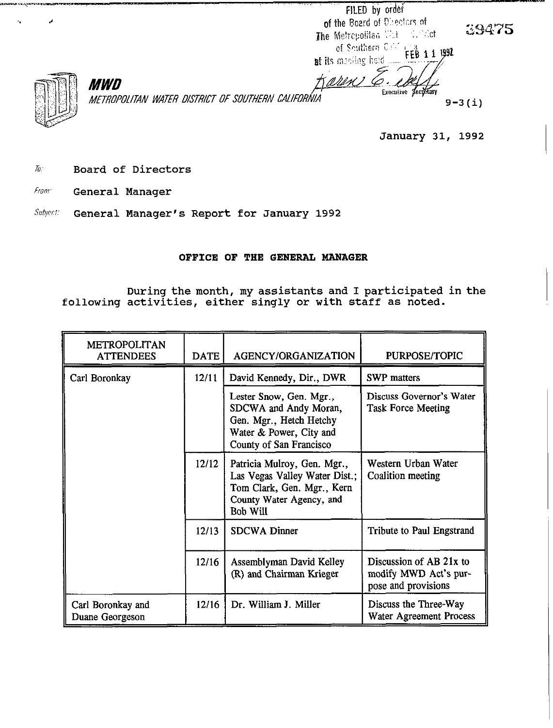FILED by order of the Board of Directors of The Metropolitan Willie C. Worth of Southern C.C. FEB 11 1992

at its meding held

hest 1

39475



**MWD** *METROPOLITAN WATER DISTRICT OF SOUTHERN CALIFORNIA* **19-3(i)** 9-3(i)

January 31, 1992

Executive Secretary

- **To:** Board of Directors
- **Fram:** General Manager

Subject: General Manager's Report for January 1992

## OFFICE OF THE GENERAL MANAGER

During the month, my assistants and I participated in the following activities, either singly or with staff as noted.

| <b>METROPOLITAN</b><br><b>ATTENDEES</b> | <b>DATE</b> | <b>AGENCY/ORGANIZATION</b>                                                                                                         | PURPOSE/TOPIC                                                           |
|-----------------------------------------|-------------|------------------------------------------------------------------------------------------------------------------------------------|-------------------------------------------------------------------------|
| Carl Boronkay                           | 12/11       | David Kennedy, Dir., DWR                                                                                                           | <b>SWP</b> matters                                                      |
|                                         |             | Lester Snow, Gen. Mgr.,<br>SDCWA and Andy Moran,<br>Gen. Mgr., Hetch Hetchy<br>Water & Power, City and<br>County of San Francisco  | Discuss Governor's Water<br><b>Task Force Meeting</b>                   |
|                                         | 12/12       | Patricia Mulroy, Gen. Mgr.,<br>Las Vegas Valley Water Dist.;<br>Tom Clark, Gen. Mgr., Kern<br>County Water Agency, and<br>Bob Will | Western Urban Water<br>Coalition meeting                                |
|                                         | 12/13       | <b>SDCWA Dinner</b>                                                                                                                | <b>Tribute to Paul Engstrand</b>                                        |
|                                         | 12/16       | Assemblyman David Kelley<br>(R) and Chairman Krieger                                                                               | Discussion of AB 21x to<br>modify MWD Act's pur-<br>pose and provisions |
| Carl Boronkay and<br>Duane Georgeson    | 12/16       | Dr. William J. Miller                                                                                                              | Discuss the Three-Way<br>Water Agreement Process                        |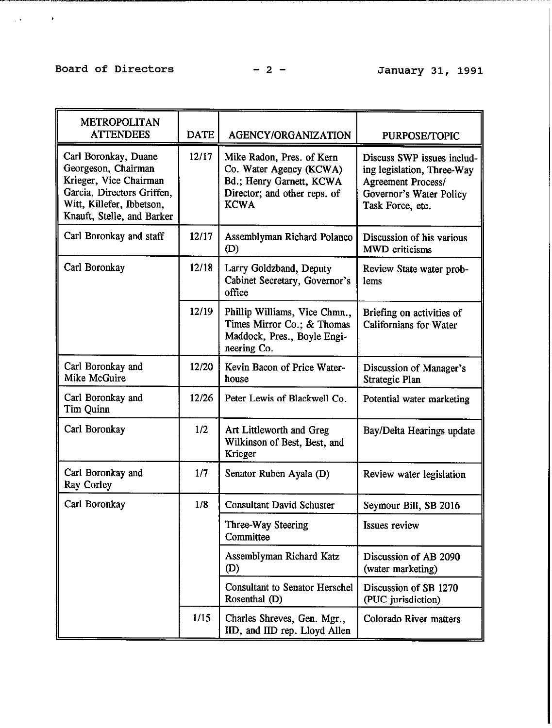# Board of Directors -2 - January 31, 1991

**CONSUMERING AND RELEASED FOR**  $\mathcal{L}(\mathbf{y},\mathbf{y})$  and  $\mathcal{L}(\mathbf{y},\mathbf{y})$ 

 $\mathbf{r}$ 

| <b>METROPOLITAN</b><br><b>ATTENDEES</b>                                                                                                                        | <b>DATE</b> | <b>AGENCY/ORGANIZATION</b>                                                                                                      | PURPOSE/TOPIC                                                                                                                        |
|----------------------------------------------------------------------------------------------------------------------------------------------------------------|-------------|---------------------------------------------------------------------------------------------------------------------------------|--------------------------------------------------------------------------------------------------------------------------------------|
| Carl Boronkay, Duane<br>Georgeson, Chairman<br>Krieger, Vice Chairman<br>Garcia, Directors Griffen,<br>Witt, Killefer, Ibbetson,<br>Knauft, Stelle, and Barker | 12/17       | Mike Radon, Pres. of Kern<br>Co. Water Agency (KCWA)<br>Bd.; Henry Garnett, KCWA<br>Director; and other reps. of<br><b>KCWA</b> | Discuss SWP issues includ-<br>ing legislation, Three-Way<br><b>Agreement Process/</b><br>Governor's Water Policy<br>Task Force, etc. |
| Carl Boronkay and staff                                                                                                                                        | 12/17       | Assemblyman Richard Polanco<br>(D)                                                                                              | Discussion of his various<br><b>MWD</b> criticisms                                                                                   |
| Carl Boronkay                                                                                                                                                  | 12/18       | Larry Goldzband, Deputy<br>Cabinet Secretary, Governor's<br>office                                                              | Review State water prob-<br>lems                                                                                                     |
|                                                                                                                                                                | 12/19       | Phillip Williams, Vice Chmn.,<br>Times Mirror Co.; & Thomas<br>Maddock, Pres., Boyle Engi-<br>neering Co.                       | Briefing on activities of<br><b>Californians</b> for Water                                                                           |
| Carl Boronkay and<br>Mike McGuire                                                                                                                              | 12/20       | Kevin Bacon of Price Water-<br>house                                                                                            | Discussion of Manager's<br>Strategic Plan                                                                                            |
| Carl Boronkay and<br>Tim Quinn                                                                                                                                 | 12/26       | Peter Lewis of Blackwell Co.                                                                                                    | Potential water marketing                                                                                                            |
| Carl Boronkay                                                                                                                                                  | 1/2         | Art Littleworth and Greg<br>Wilkinson of Best, Best, and<br>Krieger                                                             | Bay/Delta Hearings update                                                                                                            |
| Carl Boronkay and<br>Ray Corley                                                                                                                                | 1/7         | Senator Ruben Ayala (D)                                                                                                         | Review water legislation                                                                                                             |
| Carl Boronkay                                                                                                                                                  | 1/8         | <b>Consultant David Schuster</b>                                                                                                | Seymour Bill, SB 2016                                                                                                                |
|                                                                                                                                                                |             | Three-Way Steering<br>Committee                                                                                                 | <b>Issues review</b>                                                                                                                 |
|                                                                                                                                                                |             | Assemblyman Richard Katz<br>(D)                                                                                                 | Discussion of AB 2090<br>(water marketing)                                                                                           |
|                                                                                                                                                                |             | <b>Consultant to Senator Herschel</b><br>Rosenthal (D)                                                                          | Discussion of SB 1270<br>(PUC jurisdiction)                                                                                          |
|                                                                                                                                                                | 1/15        | Charles Shreves, Gen. Mgr.,<br>IID, and IID rep. Lloyd Allen                                                                    | Colorado River matters                                                                                                               |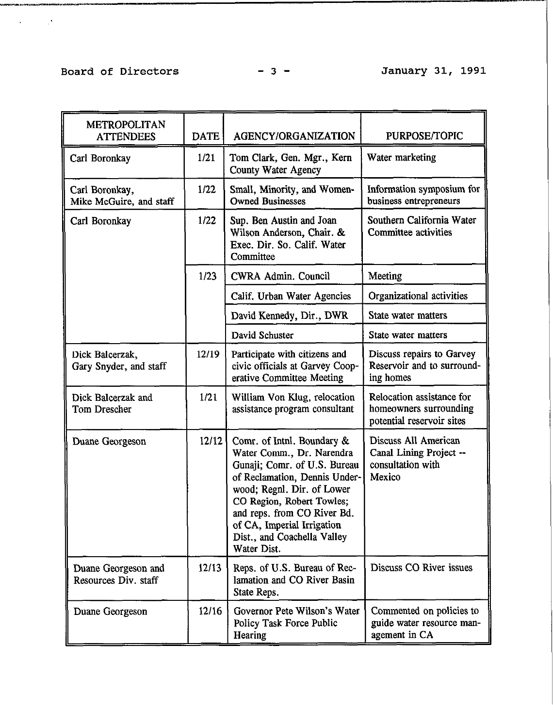$\mathcal{L}(\mathbf{x})$  and  $\mathcal{L}(\mathbf{x})$ 

| <b>METROPOLITAN</b><br><b>ATTENDEES</b>     | <b>DATE</b> | AGENCY/ORGANIZATION                                                                                                                                                                                                                                                                            | PURPOSE/TOPIC                                                                    |
|---------------------------------------------|-------------|------------------------------------------------------------------------------------------------------------------------------------------------------------------------------------------------------------------------------------------------------------------------------------------------|----------------------------------------------------------------------------------|
| Carl Boronkay                               | 1/21        | Tom Clark, Gen. Mgr., Kern<br><b>County Water Agency</b>                                                                                                                                                                                                                                       | Water marketing                                                                  |
| Carl Boronkay,<br>Mike McGuire, and staff   | 1/22        | Small, Minority, and Women-<br><b>Owned Businesses</b>                                                                                                                                                                                                                                         | Information symposium for<br>business entrepreneurs                              |
| Carl Boronkay                               | 1/22        | Sup. Ben Austin and Joan<br>Wilson Anderson, Chair. &<br>Exec. Dir. So. Calif. Water<br>Committee                                                                                                                                                                                              | Southern California Water<br>Committee activities                                |
|                                             | 1/23        | CWRA Admin. Council                                                                                                                                                                                                                                                                            | Meeting                                                                          |
|                                             |             | Calif. Urban Water Agencies                                                                                                                                                                                                                                                                    | Organizational activities                                                        |
|                                             |             | David Kennedy, Dir., DWR                                                                                                                                                                                                                                                                       | State water matters                                                              |
|                                             |             | David Schuster                                                                                                                                                                                                                                                                                 | State water matters                                                              |
| Dick Balcerzak,<br>Gary Snyder, and staff   | 12/19       | Participate with citizens and<br>civic officials at Garvey Coop-<br>erative Committee Meeting                                                                                                                                                                                                  | Discuss repairs to Garvey<br>Reservoir and to surround-<br>ing homes             |
| Dick Balcerzak and<br>Tom Drescher          | 1/21        | William Von Klug, relocation<br>assistance program consultant                                                                                                                                                                                                                                  | Relocation assistance for<br>homeowners surrounding<br>potential reservoir sites |
| Duane Georgeson                             | 12/12       | Comr. of Inthl. Boundary &<br>Water Comm., Dr. Narendra<br>Gunaji; Comr. of U.S. Bureau<br>of Reclamation, Dennis Under-<br>wood; Regnl. Dir. of Lower<br>CO Region, Robert Towles;<br>and reps. from CO River Bd.<br>of CA, Imperial Irrigation<br>Dist., and Coachella Valley<br>Water Dist. | Discuss All American<br>Canal Lining Project --<br>consultation with<br>Mexico   |
| Duane Georgeson and<br>Resources Div. staff | 12/13       | Reps. of U.S. Bureau of Rec-<br>lamation and CO River Basin<br>State Reps.                                                                                                                                                                                                                     | Discuss CO River issues                                                          |
| Duane Georgeson                             | 12/16       | Governor Pete Wilson's Water<br>Policy Task Force Public<br>Hearing                                                                                                                                                                                                                            | Commented on policies to<br>guide water resource man-<br>agement in CA           |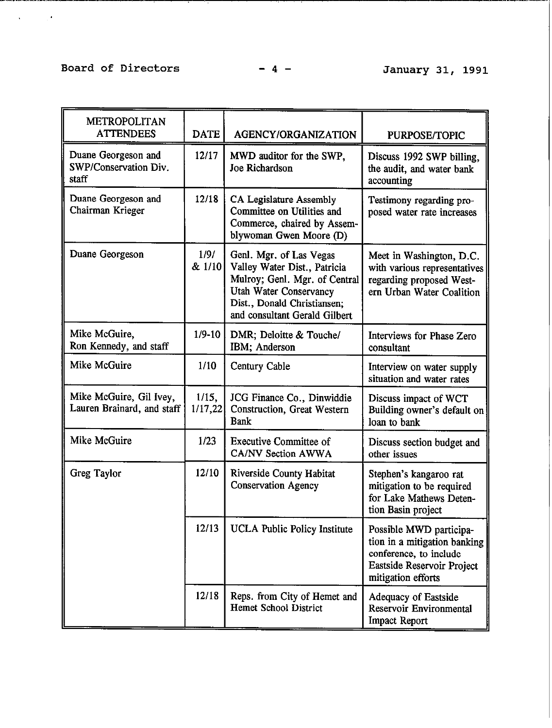## Board of Directors -4 - January 31, 1991

<u> 1990 - Jan James James Barnett, amerikansk politiker (</u>

. As  $\mathcal{O}(\sqrt{2\pi})$ 

| <b>METROPOLITAN</b><br><b>ATTENDEES</b>               | <b>DATE</b>         | AGENCY/ORGANIZATION                                                                                                                                                                       | PURPOSE/TOPIC                                                                                                                         |
|-------------------------------------------------------|---------------------|-------------------------------------------------------------------------------------------------------------------------------------------------------------------------------------------|---------------------------------------------------------------------------------------------------------------------------------------|
| Duane Georgeson and<br>SWP/Conservation Div.<br>staff | 12/17               | MWD auditor for the SWP,<br>Joe Richardson                                                                                                                                                | Discuss 1992 SWP billing,<br>the audit, and water bank<br>accounting                                                                  |
| Duane Georgeson and<br>Chairman Krieger               | 12/18               | CA Legislature Assembly<br>Committee on Utilities and<br>Commerce, chaired by Assem-<br>blywoman Gwen Moore (D)                                                                           | Testimony regarding pro-<br>posed water rate increases                                                                                |
| Duane Georgeson                                       | 1/9/<br>$& 1/10 \\$ | Genl. Mgr. of Las Vegas<br>Valley Water Dist., Patricia<br>Mulroy; Genl. Mgr. of Central<br><b>Utah Water Conservancy</b><br>Dist., Donald Christiansen;<br>and consultant Gerald Gilbert | Meet in Washington, D.C.<br>with various representatives<br>regarding proposed West-<br>ern Urban Water Coalition                     |
| Mike McGuire,<br>Ron Kennedy, and staff               | $1/9 - 10$          | DMR; Deloitte & Touche/<br>IBM; Anderson                                                                                                                                                  | Interviews for Phase Zero<br>consultant                                                                                               |
| Mike McGuire                                          | 1/10                | Century Cable                                                                                                                                                                             | Interview on water supply<br>situation and water rates                                                                                |
| Mike McGuire, Gil Ivey,<br>Lauren Brainard, and staff | 1/15,<br>1/17,22    | JCG Finance Co., Dinwiddie<br>Construction, Great Western<br><b>Bank</b>                                                                                                                  | Discuss impact of WCT<br>Building owner's default on<br>loan to bank                                                                  |
| Mike McGuire                                          | 1/23                | <b>Executive Committee of</b><br>CA/NV Section AWWA                                                                                                                                       | Discuss section budget and<br>other issues                                                                                            |
| Greg Taylor                                           | 12/10               | Riverside County Habitat<br><b>Conservation Agency</b>                                                                                                                                    | Stephen's kangaroo rat<br>mitigation to be required<br>for Lake Mathews Deten-<br>tion Basin project                                  |
|                                                       | 12/13               | <b>UCLA Public Policy Institute</b>                                                                                                                                                       | Possible MWD participa-<br>tion in a mitigation banking<br>conference, to include<br>Eastside Reservoir Project<br>mitigation efforts |
|                                                       | 12/18               | Reps. from City of Hemet and<br><b>Hemet School District</b>                                                                                                                              | <b>Adequacy of Eastside</b><br>Reservoir Environmental<br><b>Impact Report</b>                                                        |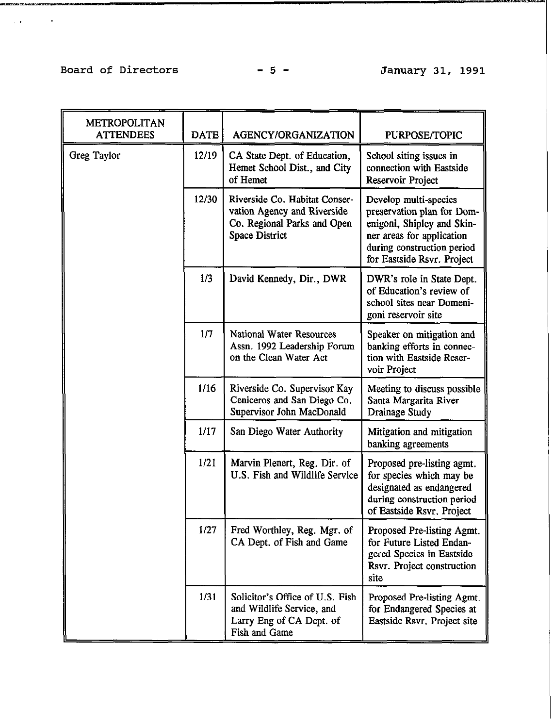# Board of Directors - 5 - January 31, 1991

 $\mathcal{L}(\mathcal{A},\mathbf{A})$  and  $\mathcal{L}(\mathcal{A},\mathbf{A})$ 

| <b>METROPOLITAN</b><br><b>ATTENDEES</b> | <b>DATE</b> | AGENCY/ORGANIZATION                                                                                           | <b>PURPOSE/TOPIC</b>                                                                                                                                                       |
|-----------------------------------------|-------------|---------------------------------------------------------------------------------------------------------------|----------------------------------------------------------------------------------------------------------------------------------------------------------------------------|
| <b>Greg Taylor</b>                      | 12/19       | CA State Dept. of Education,<br>Hemet School Dist., and City<br>of Hemet                                      | School siting issues in<br>connection with Eastside<br>Reservoir Project                                                                                                   |
|                                         | 12/30       | Riverside Co. Habitat Conser-<br>vation Agency and Riverside<br>Co. Regional Parks and Open<br>Space District | Develop multi-species<br>preservation plan for Dom-<br>enigoni, Shipley and Skin-<br>ner areas for application<br>during construction period<br>for Eastside Rsvr. Project |
|                                         | 1/3         | David Kennedy, Dir., DWR                                                                                      | DWR's role in State Dept.<br>of Education's review of<br>school sites near Domeni-<br>goni reservoir site                                                                  |
|                                         | 1/7         | National Water Resources<br>Assn. 1992 Leadership Forum<br>on the Clean Water Act                             | Speaker on mitigation and<br>banking efforts in connec-<br>tion with Eastside Reser-<br>voir Project                                                                       |
|                                         | 1/16        | Riverside Co. Supervisor Kay<br>Ceniceros and San Diego Co.<br>Supervisor John MacDonald                      | Meeting to discuss possible<br>Santa Margarita River<br>Drainage Study                                                                                                     |
|                                         | 1/17        | San Diego Water Authority                                                                                     | Mitigation and mitigation<br>banking agreements                                                                                                                            |
|                                         | 1/21        | Marvin Plenert, Reg. Dir. of<br>U.S. Fish and Wildlife Service                                                | Proposed pre-listing agmt.<br>for species which may be<br>designated as endangered<br>during construction period<br>of Eastside Rsvr. Project                              |
|                                         | 1/27        | Fred Worthley, Reg. Mgr. of<br>CA Dept. of Fish and Game                                                      | Proposed Pre-listing Agmt.<br>for Future Listed Endan-<br>gered Species in Eastside<br>Rsvr. Project construction<br>site                                                  |
|                                         | 1/31        | Solicitor's Office of U.S. Fish<br>and Wildlife Service, and<br>Larry Eng of CA Dept. of<br>Fish and Game     | Proposed Pre-listing Agmt.<br>for Endangered Species at<br>Eastside Rsvr. Project site                                                                                     |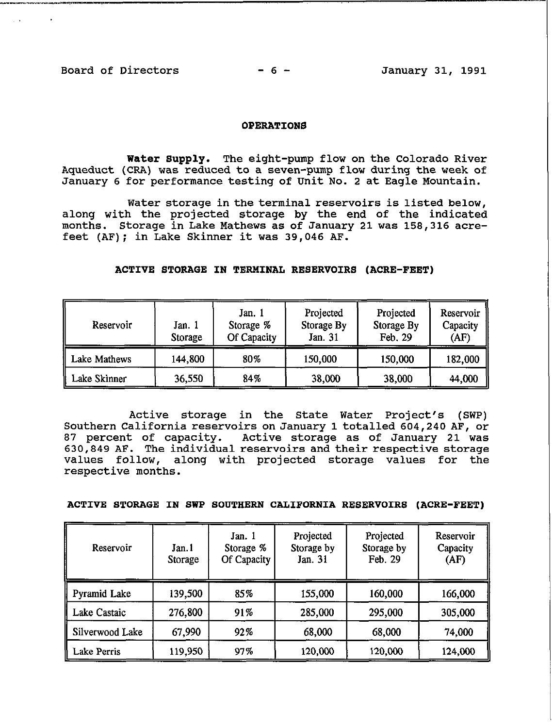#### **OPERATIONS**

Water Supply. The eight-pump flow on the Colorado River Aqueduct (CRA) was reduced to a seven-pump flow during the week of January 6 for performance testing of Unit No. 2 at Eagle Mountain.

Water storage in the terminal reservoirs is listed below, along with the projected storage by the end of the indicated months. Storage in Lake Mathews as of January 21 **was** 158,316 acrefeet (AF); in Lake Skinner it was 39,046 AF.

## **ACTIVE STORAGE IN TERMINAL RESERVOIRS (ACRE-FEET)**

| Reservoir    | Jan. 1<br>Storage | Jan. 1<br>Storage %<br>Of Capacity | Projected<br>Storage By<br>Jan. 31 | Projected<br>Storage By<br>Feb. 29 | Reservoir<br>Capacity<br>(AF) |
|--------------|-------------------|------------------------------------|------------------------------------|------------------------------------|-------------------------------|
| Lake Mathews | 144,800           | 80%                                | 150,000                            | 150,000                            | 182,000                       |
| Lake Skinner | 36,550            | 84%                                | 38,000                             | 38,000                             | 44,000                        |

Active storage in the State Water Project's (SWP) Southern California reservoirs on January **1 totalled** 604,240 AF, or 87 percent of capacity. Active storage as of January 21 was 630,849 AF. The individual reservoirs and their respective storage values follow, along with projected storage values for the respective months.

ACTIVE STORAGE IN SWP SOUTHERN CALIFORNIA RESERVOIRS (ACRE-FEET)

| Reservoir           | Jan.1<br>Storage | Jan. 1<br>Storage %<br>Of Capacity | Projected<br>Storage by<br>Jan. 31 | Projected<br>Storage by<br>Feb. 29 | Reservoir<br>Capacity<br>(AF) |
|---------------------|------------------|------------------------------------|------------------------------------|------------------------------------|-------------------------------|
| <b>Pyramid Lake</b> | 139,500          | 85%                                | 155,000                            | 160,000                            | 166,000                       |
| Lake Castaic        | 276,800          | 91%                                | 285,000                            | 295,000                            | 305,000                       |
| Silverwood Lake     | 67,990           | 92%                                | 68,000                             | 68,000                             | 74,000                        |
| <b>Lake Perris</b>  | 119,950          | 97%                                | 120,000                            | 120,000                            | 124,000                       |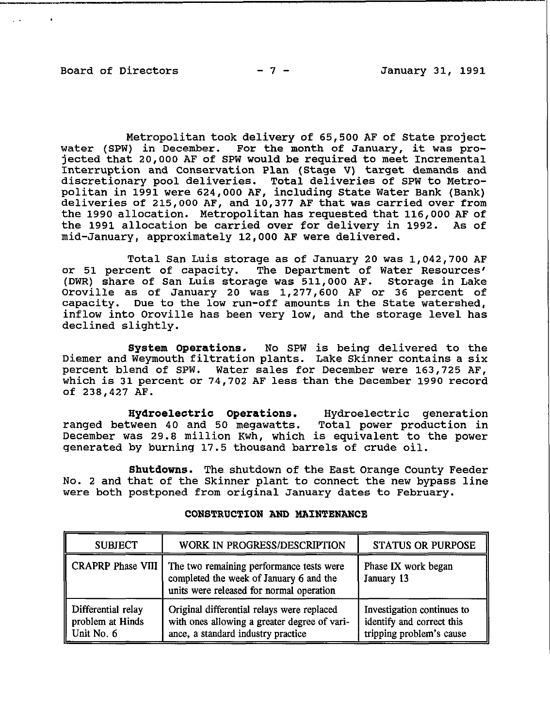Metropolitan took delivery of 65,500 AF of State project water (SPW) in December. For the month of January, it was projected that 20,000 AF of SPW would be required to meet Incremental Interruption and Conservation Plan (Stage V) target demands and discretionary pool deliveries. Total deliveries of SPW to Metropolitan in 1991 were 624,000 AF, including State Water Bank (Bank) deliveries of 215,000 AF, and 10,377 AF that was carried over from the 1990 allocation. Metropolitan has **requested that** 116,000 AF of the 1991 allocation be carried over for delivery in 1992. As of mid-January, approximately 12,000 AF were delivered.

Total San Luis storage as of January 20 was 1,042,700 AF or 51 percent of capacity. The Department of Water Resources' (DWR) share of San Luis storage was 511,000 AF. Storage in Lake Oroville as of January 20 was 1,277,600 AF or 36 percent of capacity. Due to the low run-off amounts in the State watershed, inflow into Oroville has been very low, and the storage level has declined slightly.

System Operations. No SPW is being delivered to the Diemer and Weymouth filtration plants. Lake Skinner contains a six percent blend of SPW. Water sales for December were 163,725 AF, which is 31 percent or 74,702 AF less than the December 1990 record of 238,427 AF.

Hydroelectric Operations. Hydroelectric generation ranged between 40 and 50 megawatts. Total power production in December was 29.8 million Kwh, which is equivalent to the power generated by burning 17.5 thousand barrels of crude oil.

Shutdowns. The shutdown of the East Orange County Feeder No. 2 and that of the Skinner plant to connect the new bypass line were both postponed from original January dates to February.

| <b>SUBJECT</b>                                       | WORK IN PROGRESS/DESCRIPTION                                                                                                     | <b>STATUS OR PURPOSE</b>                                                            |
|------------------------------------------------------|----------------------------------------------------------------------------------------------------------------------------------|-------------------------------------------------------------------------------------|
| CRAPRP Phase VIII                                    | The two remaining performance tests were<br>completed the week of January 6 and the<br>units were released for normal operation  | Phase IX work began<br>January 13                                                   |
| Differential relay<br>problem at Hinds<br>Unit No. 6 | Original differential relays were replaced<br>with ones allowing a greater degree of vari-<br>ance, a standard industry practice | Investigation continues to<br>identify and correct this<br>tripping problem's cause |

### CONSTRUCTION AND MAINTENANCE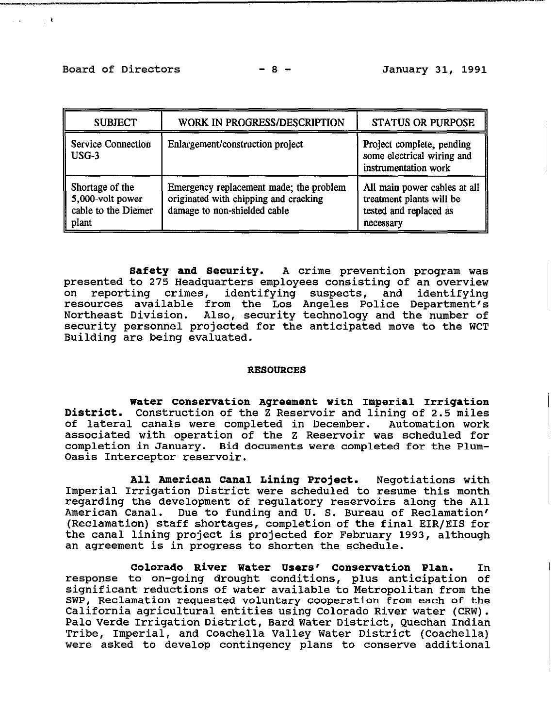## Board of Directors -8 - January 31, 1991

 $\mathcal{A}$  , and  $\mathcal{A}$  ,  $\mathcal{A}$ 

| <b>SUBJECT</b>                                                         | WORK IN PROGRESS/DESCRIPTION                                                                                     | <b>STATUS OR PURPOSE</b>                                                                        |
|------------------------------------------------------------------------|------------------------------------------------------------------------------------------------------------------|-------------------------------------------------------------------------------------------------|
| <b>Service Connection</b><br>USG-3                                     | Enlargement/construction project                                                                                 | Project complete, pending<br>some electrical wiring and<br>instrumentation work                 |
| Shortage of the<br>5,000-volt power<br>cable to the Diemer<br>   plant | Emergency replacement made; the problem<br>originated with chipping and cracking<br>damage to non-shielded cable | All main power cables at all<br>treatment plants will be<br>tested and replaced as<br>necessary |

**Safety and Security.** A crime prevention program was presented to 275 Headquarters employees consisting of an overview<br>on reporting crimes, identifying suspects, and identifying reporting crimes, identifying suspects, and identifying resources available from the Los Angeles Police Department's Northeast Division. Also, security technology and the number of security personnel projected for the anticipated move to the WCT Building are being evaluated,

#### RESOURCES

Water Conservation Agreement with Imperial Irrigation District. Construction of the Z Reservoir and lining of 2.5 miles<br>of lateral canals were completed in December. Automation work of lateral canals were completed in December. associated with operation of the Z Reservoir was scheduled for completion in January. Bid documents were completed for the Plum-Oasis Interceptor reservoir.

All American Canal Lining Project. Negotiations with<br>Imperial Irrigation District were scheduled to resume this month Imperial Irrigation District were scheduled to resume this month regarding the development of regulatory reservoirs along the All American Canal. Due to funding and U. S. Bureau of Reclamation' (Reclamation) staff shortages, completion of the final EIR/EIS for the canal lining project is projected for February 1993, although an agreement is in progress to shorten the schedule.

Colorado River Water Users' Conservation Plan. In response to on-going drought conditions, plus anticipation of significant reductions of water available to Metropolitan from the SWP, Reclamation requested voluntary cooperation from each of the California agricultural entities using Colorado River water (CRW). Palo Verde Irrigation District, Bard **Water** District, Quechan Indian Tribe, Imperial, and Coachella Valley Water District (Coachella) were asked to develop contingency plans to conserve additional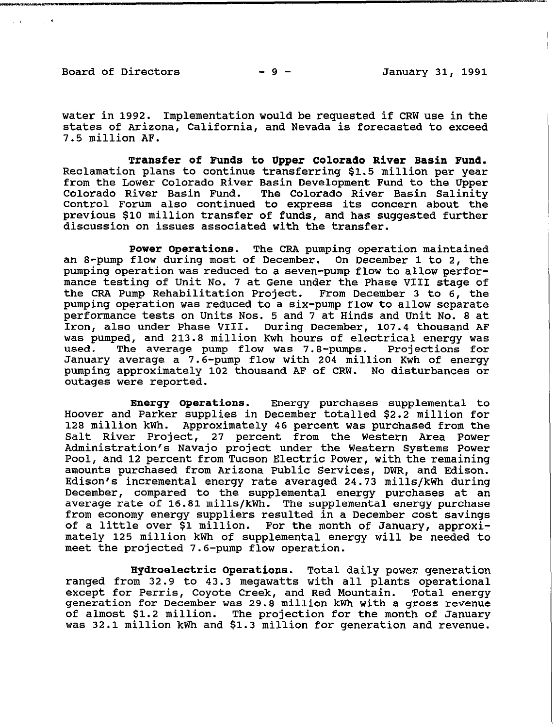$\sim 100$ 

water in 1992. Implementation would be requested if CRW use in the states of Arizona, California, and Nevada is forecasted to exceed 7.5 million AF.

Transfer of **Funds to Upper Colorado River Basin** Fund. Reclamation plans to continue transferring \$1.5 million per year from the Lower Colorado River Basin Development Fund to the Upper Colorado River Basin Fund. The Colorado River Basin Salinity The Colorado River Basin Salinity Control Forum also continued to express its concern about the previous \$10 million transfer of funds, and has suggested further discussion on issues associated with the transfer.

Power Operations. The CRA pumping operation maintained an 8-pump flow during most of December. On December 1 to 2, the pumping operation was reduced to a seven-pump flow to allow performance testing of Unit No. 7 at Gene under the Phase VIII stage of the CRA Pump Rehabilitation Project. From December 3 to 6, the pumping operation was reduced to a six-pump flow to allow separate performance tests on Units Nos. 5 and 7 at Hinds and Unit No. 8 at Iron, also under Phase VIII. During December, 107.4 thousand AF was pumped, and 213.8 million Kwh hours of electrical energy was<br>used. The average pump flow was 7.8-pumps. Projections for The average pump flow was 7.8-pumps. Projections for January average a 7.6-pump flow with 204 million Kwh of energy pumping approximately 102 thousand AF of CRW. No disturbances or outages were reported.

Energy Operations. Energy purchases supplemental to Hoover and Parker supplies in December totalled \$2.2 million for 128 million kWh. Approximately 46 percent was purchased from the Salt River Project, 27 percent from the Western Area Power Administration's Navajo project under the Western Systems Power Pool, and 12 percent from Tucson Electric Power, with the remaining amounts purchased from Arizona Public Services, DWR, and Edison. Edison's incremental energy rate averaged 24.73 mills/kWh during December, compared to the supplemental energy purchases at an average rate of 16.81 mills/kWh. The supplemental energy purchase from economy energy suppliers resulted in a December cost savings of a little over \$1 million. For the month of January, approx $\tilde{i}$ mately 125 million kWh of supplemental *energy* will be needed to meet the projected 7.6-pump flow operation.

*Hydroelectric* **Operations.** Total daily power generation ranged from 32.9 to 43.3 megawatts with all plants operational except for Perris, Coyote Creek, and Red Mountain. Total energy generation for December was 29.8 million kWh with a gross revenue of almost \$1.2 million. The projection for the month of January was 32.1 million kWh and \$1.3 million for generation and revenue.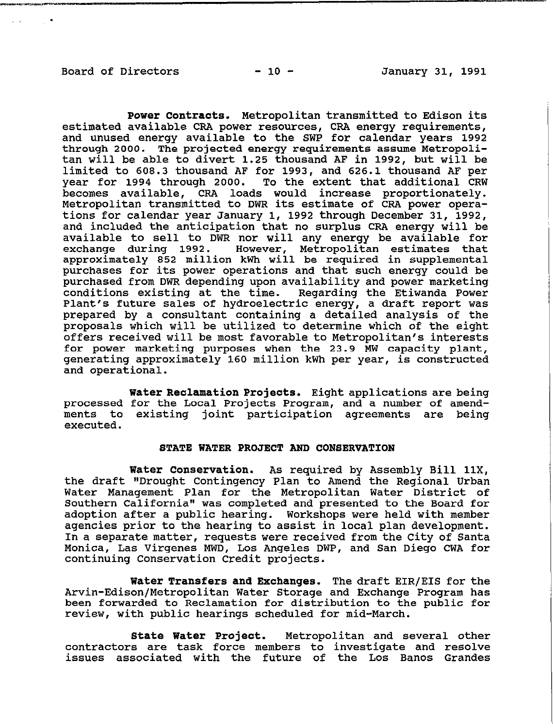.

Power Contracts. Metropolitan transmitted to Edison its estimated available CRA power resources, CRA energy requirements, and unused energy available to the SWP for calendar years 1992 through 2000. The projected energy requirements assume Metropolitan will be able to divert 1.25 thousand AF in 1992, but will be limited to 608.3 thousand AF for 1993, and 626.1 thousand AF per year for 1994 through 2000. To the extent that additional CRW becomes available, CRA loads would increase proportionately. Metropolitan transmitted to DWR its estimate of CRA power operations for calendar year January 1, 1992 through December 31, 1992, and included the anticipation that no surplus CRA energy will be available to sell to DWR nor will any energy be available for exchange during 1992. However, Metropolitan estimates that approximately 852 million kWh will be required in supplemental purchases for its power operations and that such energy could be purchased from DWR depending upon availability and power marketing conditions existing at the time. Regarding the Etiwanda Power Plant's future sales of hydroelectric energy, a draft report was prepared by a consultant containing a detailed analysis of the proposals which will be utilized to determine which of the eight offers received will be most favorable to Metropolitan's interests for power marketing purposes when the 23.9 MW capacity plant, generating approximately 160 million kWh per year, is constructed and operational.

water Reclamation Projects. Eight applications are being processed for the Local Projects Program, and a number of amendments to existing joint participation agreements are being executed.

#### STATE WATER PROJECT AND CONSERVATION

Water Conservation. As required by Assembly Bill 11X, the draft "Drought Contingency Plan to Amend the Regional Urban Water Management Plan for the Metropolitan Water District of Southern California" was completed and presented to the Board for adoption after a public hearing. Workshops were held with member agencies prior to the hearing to assist in local plan development. In a separate matter, requests were received from the City of Santa Monica, Las Virgenes MWD, Los Angeles DWP, and San Diego CWA for continuing Conservation Credit projects.

Water Transfers and Exchanges. The draft EIR/EIS for the Arvin-Edison/Metropolitan Water Storage and Exchange Program has been forwarded to Reclamation for distribution to the public for review, with public hearings scheduled for mid-Warch.

State Water Project. Metropolitan and several other contractors are task force members to investigate and resolve issues associated with the future of the Los Banos Grandes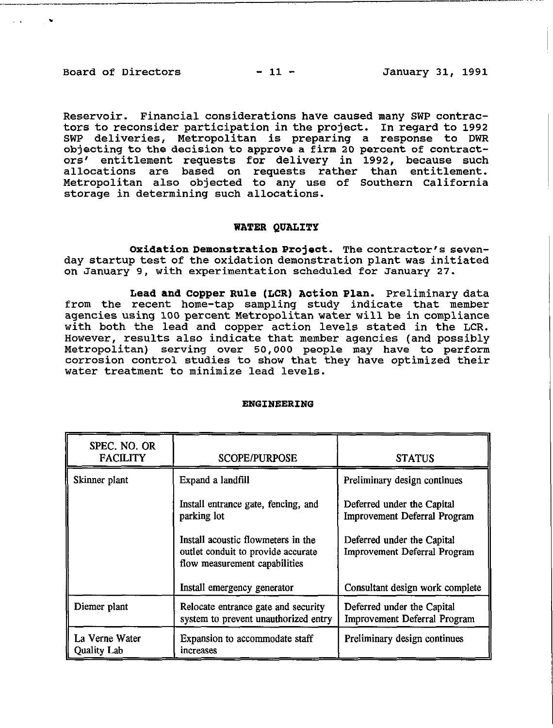## Board of Directors - 11 - January 31, 1991

Reservoir. Financial considerations have caused many SWP contractors to reconsider participation in the project. In regard to 1992 SWP deliveries, Metropolitan is preparing a response to DWR objecting to the decision to approve a firm 20 percent of contractors' entitlement requests for delivery in 1992, because such allocations are based on requests rather than entitlement. Metropolitan also objected to any use of Southern California storage in determining such allocations.

#### WATER QUALITY

Oxidation Demonstration Project. The contractor's sevenday startup test of the oxidation demonstration **plant was** initiated on January 9, with experimentation scheduled for January 27.

Lead and Copper Rule (LCR) Action Plan. Preliminary data from the recent home-tap sampling study indicate that member agencies using 100 **percent Metropolitan** water will **be** in compliance with both the lead and copper action levels stated in the LCR. However, results also indicate that member agencies (and possibly Metropolitan) serving over 50,000 people may have to perform corrosion control studies to show that they have optimized their water treatment to minimize lead levels.

| SPEC. NO. OR<br><b>FACILITY</b>      | <b>SCOPE/PURPOSE</b>                                                                                      | <b>STATUS</b>                                                     |
|--------------------------------------|-----------------------------------------------------------------------------------------------------------|-------------------------------------------------------------------|
| Skinner plant                        | Expand a landfill                                                                                         | Preliminary design continues                                      |
|                                      | Install entrance gate, fencing, and<br>parking lot                                                        | Deferred under the Capital<br><b>Improvement Deferral Program</b> |
|                                      | Install acoustic flowmeters in the<br>outlet conduit to provide accurate<br>flow measurement capabilities | Deferred under the Capital<br><b>Improvement Deferral Program</b> |
|                                      | Install emergency generator                                                                               | Consultant design work complete                                   |
| Diemer plant                         | Relocate entrance gate and security<br>system to prevent unauthorized entry                               | Deferred under the Capital<br><b>Improvement Deferral Program</b> |
| La Verne Water<br><b>Quality Lab</b> | Expansion to accommodate staff<br>increases                                                               | Preliminary design continues                                      |

#### ENGINEERING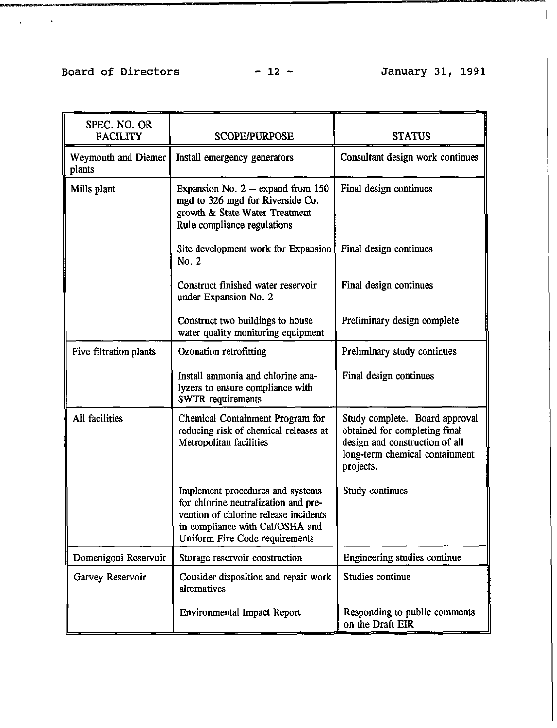## Board of Directors - 12 - January 31, 1991

. **I** 

| SPEC. NO. OR<br><b>FACILITY</b> | <b>SCOPE/PURPOSE</b>                                                                                                                                                                   | <b>STATUS</b>                                                                                                                                    |
|---------------------------------|----------------------------------------------------------------------------------------------------------------------------------------------------------------------------------------|--------------------------------------------------------------------------------------------------------------------------------------------------|
| Weymouth and Diemer<br>plants   | Install emergency generators                                                                                                                                                           | Consultant design work continues                                                                                                                 |
| Mills plant                     | Expansion No. 2 -- expand from 150<br>mgd to 326 mgd for Riverside Co.<br>growth & State Water Treatment<br>Rule compliance regulations                                                | Final design continues                                                                                                                           |
|                                 | Site development work for Expansion<br>No. 2                                                                                                                                           | Final design continues                                                                                                                           |
|                                 | Construct finished water reservoir<br>under Expansion No. 2                                                                                                                            | Final design continues                                                                                                                           |
|                                 | Construct two buildings to house<br>water quality monitoring equipment                                                                                                                 | Preliminary design complete                                                                                                                      |
| Five filtration plants          | <b>Ozonation retrofitting</b>                                                                                                                                                          | Preliminary study continues                                                                                                                      |
|                                 | Install ammonia and chlorine ana-<br>lyzers to ensure compliance with<br><b>SWTR</b> requirements                                                                                      | Final design continues                                                                                                                           |
| All facilities                  | Chemical Containment Program for<br>reducing risk of chemical releases at<br>Metropolitan facilities                                                                                   | Study complete. Board approval<br>obtained for completing final<br>design and construction of all<br>long-term chemical containment<br>projects. |
|                                 | Implement procedures and systems<br>for chlorine neutralization and pre-<br>vention of chlorine release incidents<br>in compliance with Cal/OSHA and<br>Uniform Fire Code requirements | Study continues                                                                                                                                  |
| Domenigoni Reservoir            | Storage reservoir construction                                                                                                                                                         | Engineering studies continue                                                                                                                     |
| Garvey Reservoir                | Consider disposition and repair work<br>alternatives                                                                                                                                   | Studies continue                                                                                                                                 |
|                                 | <b>Environmental Impact Report</b>                                                                                                                                                     | Responding to public comments<br>on the Draft EIR                                                                                                |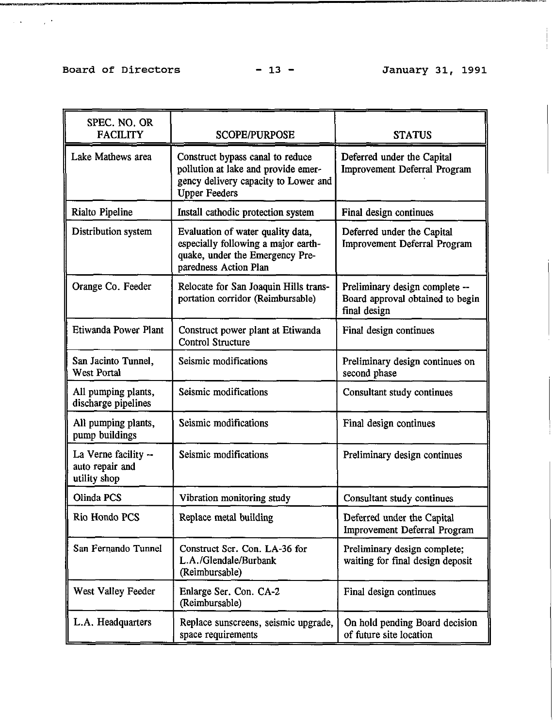## **Board of Directors - 13 - January 31, 1991**

 $\mathcal{L}(\mathcal{A},\mathcal{A})$  and  $\mathcal{L}(\mathcal{A},\mathcal{A})$ 

| SPEC. NO. OR<br><b>FACILITY</b>                         | <b>SCOPE/PURPOSE</b>                                                                                                                    | <b>STATUS</b>                                                                      |
|---------------------------------------------------------|-----------------------------------------------------------------------------------------------------------------------------------------|------------------------------------------------------------------------------------|
| Lake Mathews area                                       | Construct bypass canal to reduce<br>pollution at lake and provide emer-<br>gency delivery capacity to Lower and<br><b>Upper Feeders</b> | Deferred under the Capital<br><b>Improvement Deferral Program</b>                  |
| Rialto Pipeline                                         | Install cathodic protection system                                                                                                      | Final design continues                                                             |
| Distribution system                                     | Evaluation of water quality data,<br>especially following a major earth-<br>quake, under the Emergency Pre-<br>paredness Action Plan    | Deferred under the Capital<br><b>Improvement Deferral Program</b>                  |
| Orange Co. Feeder                                       | Relocate for San Joaquin Hills trans-<br>portation corridor (Reimbursable)                                                              | Preliminary design complete --<br>Board approval obtained to begin<br>final design |
| Etiwanda Power Plant                                    | Construct power plant at Etiwanda<br><b>Control Structure</b>                                                                           | Final design continues                                                             |
| San Jacinto Tunnel,<br>West Portal                      | Seismic modifications                                                                                                                   | Preliminary design continues on<br>second phase                                    |
| All pumping plants,<br>discharge pipelines              | Seismic modifications                                                                                                                   | Consultant study continues                                                         |
| All pumping plants,<br>pump buildings                   | Seismic modifications                                                                                                                   | Final design continues                                                             |
| La Verne facility --<br>auto repair and<br>utility shop | Seismic modifications                                                                                                                   | Preliminary design continues                                                       |
| Olinda PCS                                              | Vibration monitoring study                                                                                                              | Consultant study continues                                                         |
| Rio Hondo PCS                                           | Replace metal building                                                                                                                  | Deferred under the Capital<br>Improvement Deferral Program                         |
| San Fernando Tunnel                                     | Construct Ser. Con. LA-36 for<br>L.A./Glendale/Burbank<br>(Reimbursable)                                                                | Preliminary design complete;<br>waiting for final design deposit                   |
| West Valley Feeder                                      | Enlarge Ser. Con. CA-2<br>(Reimbursable)                                                                                                | Final design continues                                                             |
| L.A. Headquarters                                       | Replace sunscreens, seismic upgrade,<br>space requirements                                                                              | On hold pending Board decision<br>of future site location                          |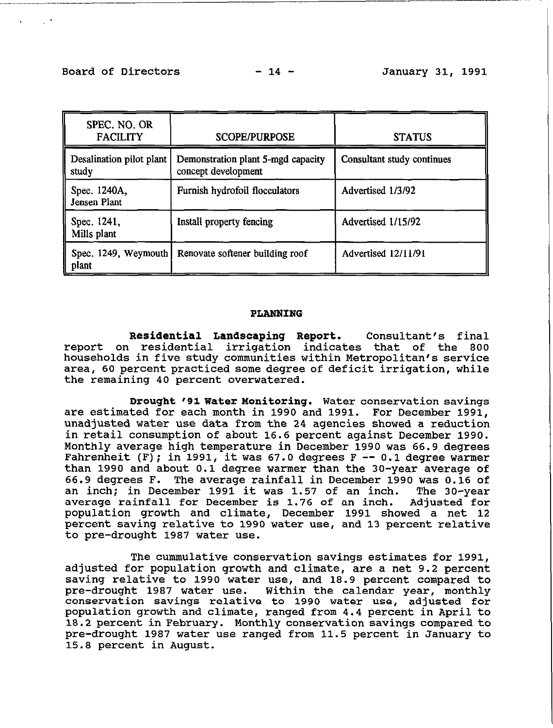: **I** 

| SPEC. NO. OR<br><b>FACILITY</b>   | <b>SCOPE/PURPOSE</b>                                      | <b>STATUS</b>              |
|-----------------------------------|-----------------------------------------------------------|----------------------------|
| Desalination pilot plant<br>study | Demonstration plant 5-mgd capacity<br>concept development | Consultant study continues |
| Spec. 1240A,<br>Jensen Plant      | Furnish hydrofoil flocculators                            | Advertised 1/3/92          |
| Spec. 1241,<br>Mills plant        | Install property fencing                                  | Advertised 1/15/92         |
| Spec. 1249, Weymouth<br>plant     | Renovate softener building roof                           | Advertised 12/11/91        |

#### PLANNING

Residential Landscaping Report. Consultant's final report on residential irrigation indicates that of the 800 households in five study communities within Metropolitan's service area, 60 percent **practiced** some degree of deficit irrigation, while the remaining 40 percent overwatered.

Drought '91 Water Monitoring. Water conservation savings are estimated for each month in 1990 and 1991. For December 1991, unadjusted water use data from the 24 agencies showed a reduction in retail consumption of about 16.6 percent against December 1990. Monthly average high temperature in December 1990 was 66.9 degrees Fahrenheit (F); in 1991, **it was** 67.0 degrees F -- 0.1 degree warmer than 1990 and about 0.1 degree warmer than the 30-year average of 66.9 degrees F. The average rainfall in December 1990 was 0.16 of an inch; in December 1991 it was 1.57 of an inch. The 30-year average rainfall for December is 1.76 of an inch. Adjusted for population growth and climate, December 1991 showed a net 12 percent saving relative to 1990 water use, and 13 percent relative to pre-drought 1987 water use.

The cummulative conservation savings estimates for 1991, adjusted for population growth and climate, are a net 9.2 percent saving relative to 1990 water use, and 18.9 percent compared to pre-drought 1987 water use. Within the calendar year, monthly Within the calendar year, monthly conservation savings relative to 1990 water use, adjusted for population growth and climate, ranged from 4.4 percent in April to 18.2 percent in February. Monthly conservation savings **compared to**  pre-drought 1987 water use ranged from 11.5 percent in January to 15.8 percent in August.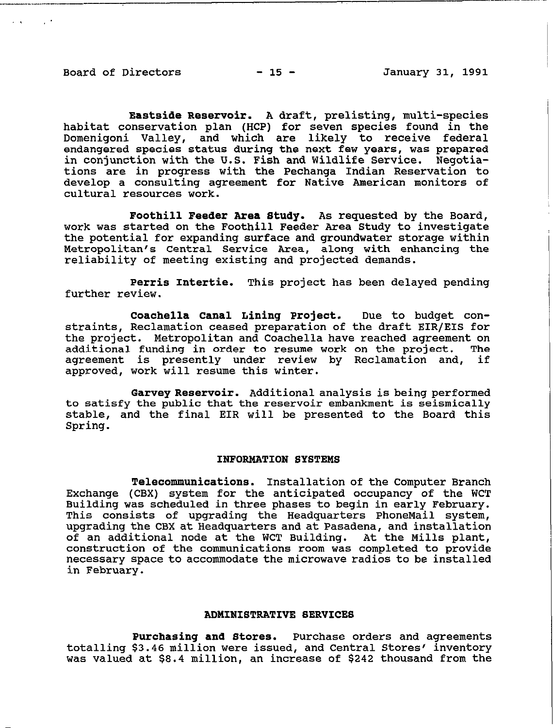and the part

**Eastside Reservoir. A draft, prelisting, multi-species habitat conservation plan (HCP) for seven species found in the Domenigoni Valley, and which are likely to receive federal endangered species status during the next few years, was prepared in conjunction with the U.S. Fish and Wildlife Service. Negotiations are in progress with the Pechanga Indian Reservation to develop a consulting agreement for Native American monitors of cultural resources work.** 

**Foothill** *Feeder Area* **Study. As requested by the Board, work was started on the Foothill Feeder Area Study to investigate the potential for expanding surface and groundwater storage within Metropolitan's Central Service Area, along with enhancing the reliability of meeting existing and projected demands.** 

**Perris Intertie. This project has been delayed pending further review.** 

**Coachella Canal Lining Project. Due to budget constraints, Reclamation ceased preparation of the draft EIR/EIS for the project. Metropolitan and Coachella have reached agreement on additional funding in order to resume work on the project. The agreement is presently under review by Reclamation and, if approved, work will resume this winter.** 

**Garvey Reservoir. Additional analysis is being performed to satisfy the public that the reservoir embankment is seismically stable, and the final EIR will be presented to the Board this Spring.** 

#### **INFORMATION SYSTEMS**

**Telecommunications. Installation of the Computer Branch Exchange (CBX) system for the anticipated occupancy of the WCT Building was scheduled in three phases to begin in early February. This consists of upgrading the Headquarters PhoneMail system, upgrading the CBX at Headquarters and at Pasadena, and installation**  of an additional node at the WCT Building. **construction of the communications room was completed to provide necessary space to accommodate the microwave radios to be installed in February.** 

## **ADMINISTRATIVE SERVICES**

**Purchasing and Stores. Purchase orders and agreements totalling \$3.46 million were issued, and Central Stores' inventory was valued at \$8.4 million, an increase of \$242 thousand from the**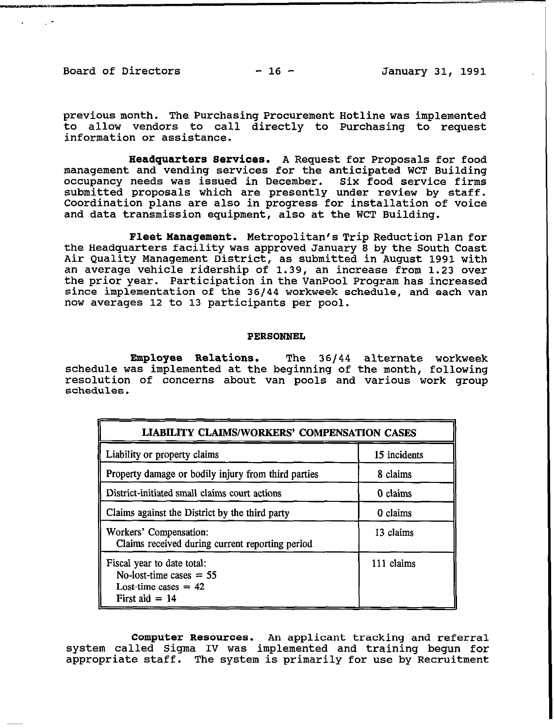Board of Directors  $-16$  -  $-$  January 31, 1991

. **I** 

previous month. The Purchasing Procurement Hotline was implemented to allow vendors to call directly to Purchasing to request information or assistance.

Headquarters Services. A Request for Proposals for food management and vending services for the anticipated WCT Building occupancy needs was issued in December. Six food service firms submitted proposals which are presently under review by staff. Coordination plans are also in progress for installation of voice and data transmission equipment, also at the WCT Building.

**Fleet Management.** Metropolitan's Trip Reduction Plan for the Headquarters facility was approved January 8 by the South Coast Air Quality Management District, as submitted in August 1991 with an average vehicle ridership of 1.39, an increase from 1.23 over the prior year. Participation in the VanPool Program has increased since implementation of the 36144 workweek schedule, and each van now averages 12 to 13 participants per pool.

#### PERSONNEL

Employee Relations. The 36144 alternate workweek schedule was implemented at the beginning of the month, following resolution of concerns about van pools and various work group schedules.

| <b>LIABILITY CLAIMS/WORKERS' COMPENSATION CASES</b>                                                   |              |  |
|-------------------------------------------------------------------------------------------------------|--------------|--|
| Liability or property claims                                                                          | 15 incidents |  |
| Property damage or bodily injury from third parties                                                   | 8 claims     |  |
| District-initiated small claims court actions                                                         | 0 claims     |  |
| Claims against the District by the third party                                                        | 0 claims     |  |
| Workers' Compensation:<br>Claims received during current reporting period                             | 13 claims    |  |
| Fiscal year to date total:<br>No-lost-time cases $= 55$<br>Lost-time cases $= 42$<br>First aid $= 14$ | 111 claims   |  |

Computer Resources. An applicant tracking and referral system called Sigma IV was implemented and training begun for appropriate staff. The system is primarily for use by Recruitment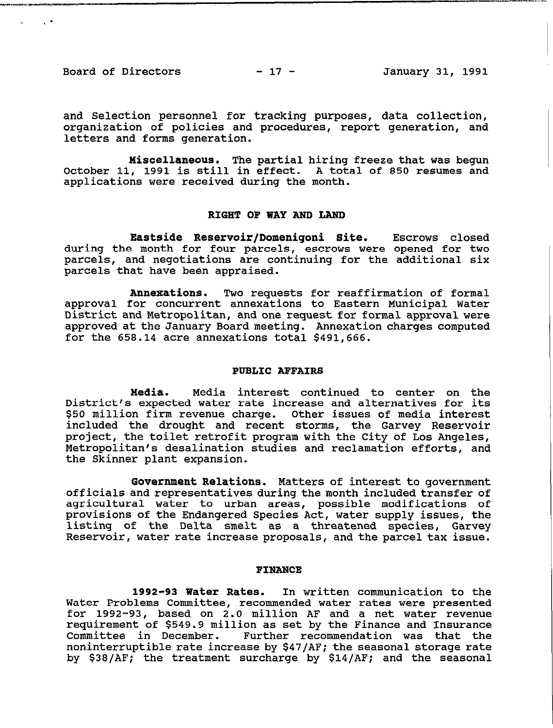Board of Directors - 17 - January 31, 1991

 $\sigma_{\rm c}$  -  $\sigma_{\rm c}$  -  $\sigma_{\rm c}$ 

and Selection personnel for tracking purposes, data collection, organization of policies and procedures, report generation, and letters and forms generation.

Miscellaneous. The partial hiring freeze that was begun October 11, **1991** is still in effect. A total of 850 resumes and applications were received during the month.

### RIGHT OF WAY AWD LAWD

Eastside Reservoir/Domenigoni Site. Escrows closed during the month for four parcels, escrows were opened for two parcels, and negotiations are continuing for the additional six parcels that have been appraised.

Annexations. Two requests for reaffirmation of formal approval for concurrent annexations to Eastern Municipal Water District and Metropolitan, and one request for formal approval were approved **at the** January Board meeting. Annexation charges computed for the 658.14 acre annexations total \$491,666.

#### PUBLIC AFFAIRS

Media. Media interest continued to center on the District's expected water rate increase and alternatives for its \$50 million firm revenue charge. Other issues of media interest included the drought and recent storms, the Garvey Reservoir project, the toilet retrofit program with the City of Los Angeles, Metropolitan's desalination studies and reclamation efforts, and the Skinner plant expansion.

Government Relations. Matters of **interest to** government officials and representatives during the month **included transfer** of agricultural water to urban areas, possible modifications of provisions of the Endangered Species Act, water supply issues, the listing of the Delta smelt as a threatened species, Garvey Reservoir, water rate increase proposals, and the **parcel tax** issue.

#### FIWAWCB

1992-93 Water Rates. In written communication to the Water Problems Committee, recommended water rates were presented for 1992-93, based on 2.0 million AF and a net water revenue requirement of \$549.9 million as set by the Finance and Insurance Further recommendation was that the noninterruptible rate increase by \$47/AF; the **seasonal storage** rate by \$38/AF; the treatment surcharge by \$14/AF; and the seasonal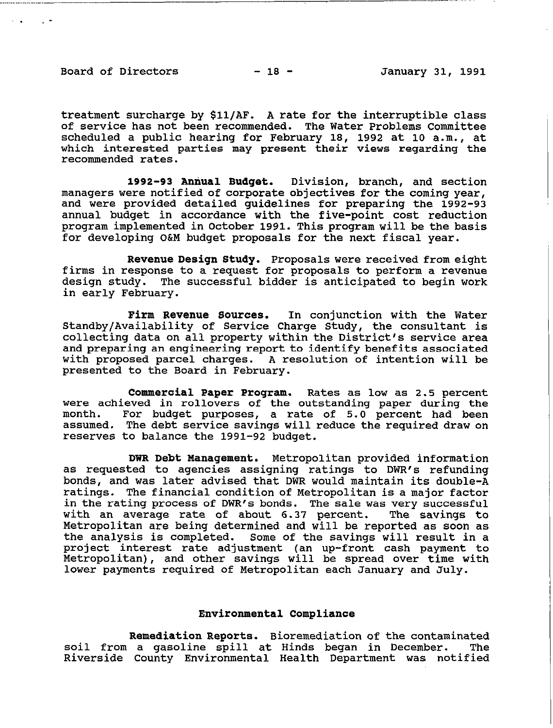-. ,-

treatment surcharge by \$11/N?. A rate for the interruptible class of service has not been recommended. The Water Problems Committee scheduled a public hearing for February 18, 1992 at 10 a.m., at which interested parties may present their views regarding the recommended rates.

1992-93 Annual **Budget.** Division, branch, and section managers were notified of corporate objectives for the coming year, and were provided detailed guidelines for preparing the 1992-93 annual budget in accordance with the five-point cost reduction program implemented in October 1991. This program will be the basis for developing **O&M** budget proposals for the next fiscal year.

Revenue Design Study. Proposals were received from eight firms in response to a request for proposals to perform a revenue design study. The successful bidder is anticipated to begin work in early February.

Firm Revenue Sources. In conjunction with the Water Standby/Availability of Service Charge Study, the consultant is collecting data on all property within the District's service area and preparing an engineering **report to** identify benefits associated with proposed parcel charges. A resolution of intention will be presented to the Board in February.

Commercial Paper Program. Rates as low as 2.5 percent were achieved in rollovers of the outstanding paper during the month. For budget purposes, a rate of 5.0 percent had been assumed. The debt service savings will reduce the required draw on reserves to balance the 1991-92 budget.

DWR Debt Management. Metropolitan provided information as requested to agencies assigning ratings to DWR's refunding bonds, and was later advised that DWR would maintain its double-A ratings. The financial condition of Metropolitan is a major factor in the rating process of DWR's bonds. The sale was very successful with an average rate of about 6.37 percent. The savings to Metropolitan are being determined and will be reported as soon as the analysis is completed. Some of the savings will result in a project interest rate adjustment (an up-front cash payment to Metropolitan), and other savings will be spread over time with lower payments required of Metropolitan each January and July.

## **Environmental Compliance**

**Remediation Reports.** Bioremediation of the contaminated soil from a gasoline spill at Hinds began in December. The Riverside County Environmental Health Department was notified